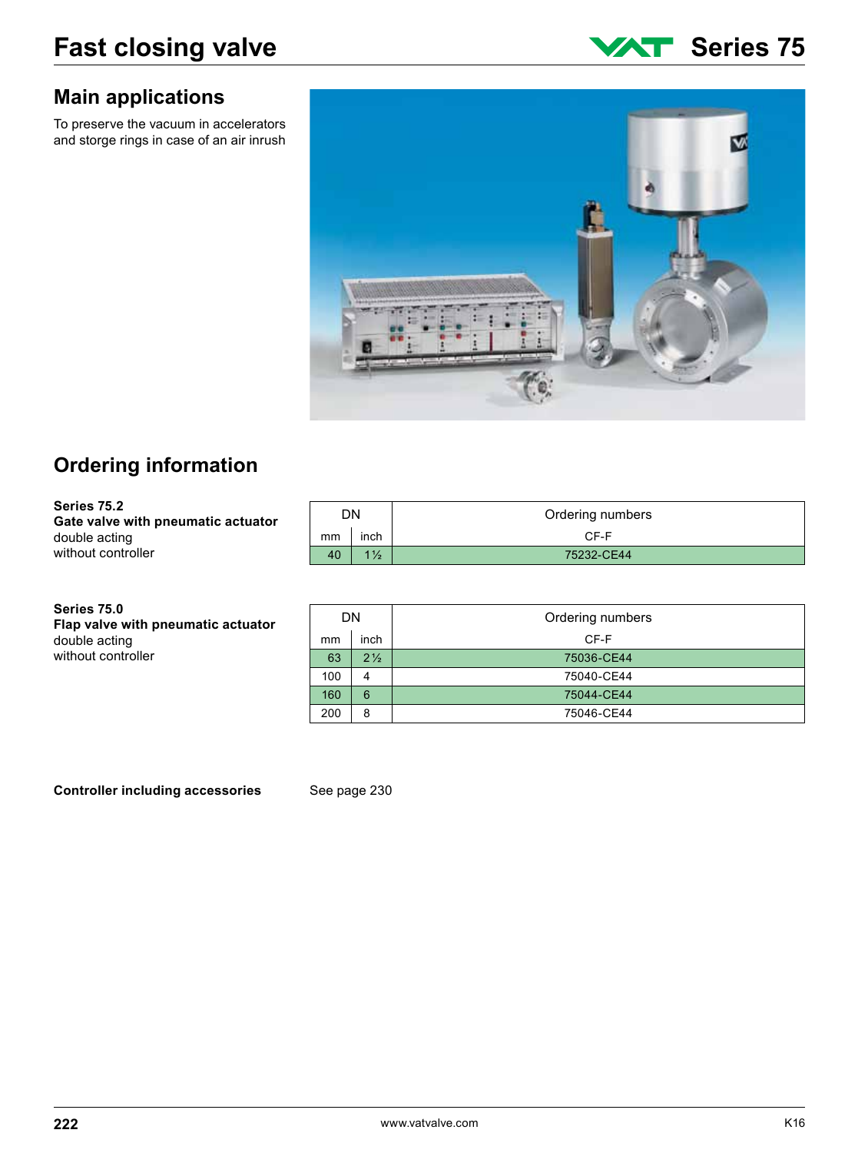### **Main applications**

To preserve the vacuum in accelerators and storge rings in case of an air inrush



# **Ordering information**

**Series 75.2 Gate valve with pneumatic actuator** double acting without controller

**Series 75.0 Flap valve with pneumatic actuator** double acting without controller

| DN. |                | Ordering numbers |
|-----|----------------|------------------|
| mm  | inch           | CF-F             |
| 40  | $1\frac{1}{2}$ | 75232-CE44       |

| DN  |                | Ordering numbers |
|-----|----------------|------------------|
| mm  | inch           | CF-F             |
| 63  | $2\frac{1}{2}$ | 75036-CE44       |
| 100 | 4              | 75040-CE44       |
| 160 | 6              | 75044-CE44       |
| 200 | 8              | 75046-CE44       |

**Controller including accessories** See page 230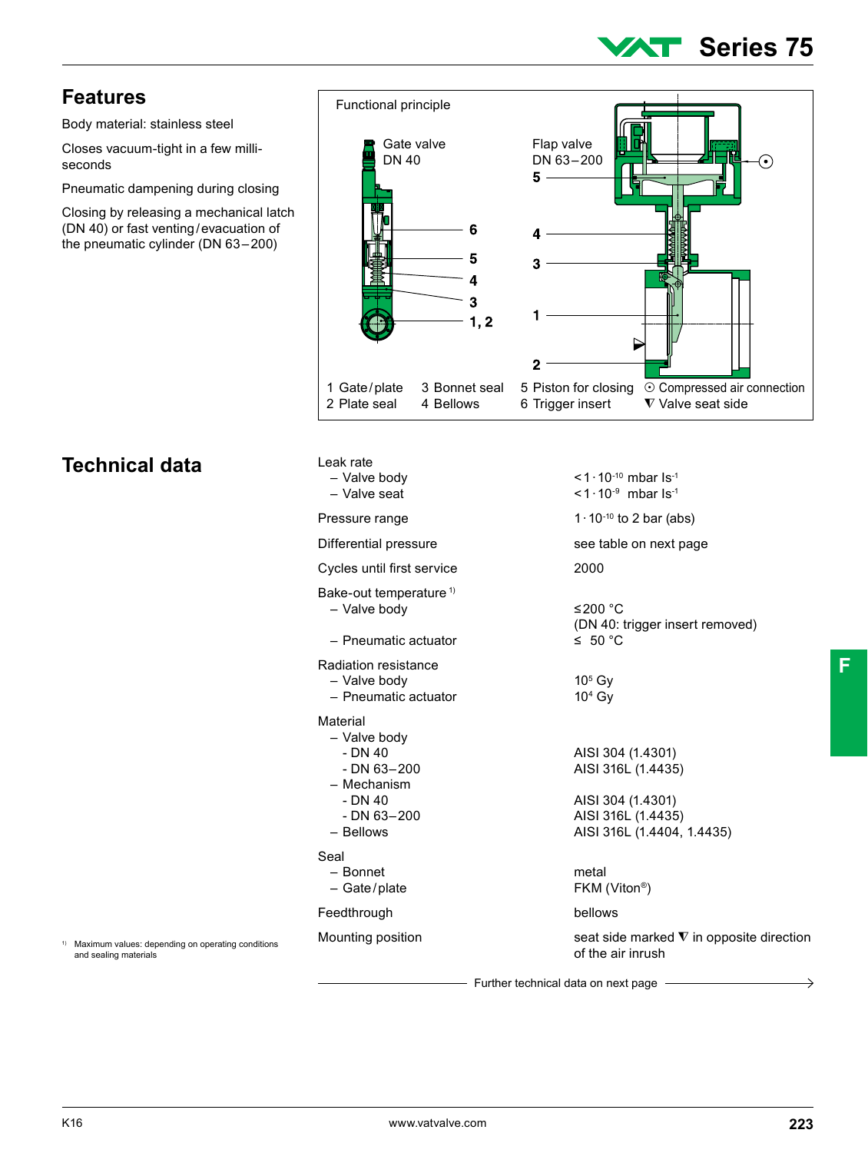# **Series 75**

 $\sqrt{6}$ 

### **Features**

Body material: stainless steel

Closes vacuum-tight in a few milliseconds

Pneumatic dampening during closing

Functional principle

Closing by releasing a mechanical latch (DN 40) or fast venting/evacuation of the pneumatic cylinder (DN 63–200)

## **Technical data**

| Gate valve<br><b>DN 40</b><br>6<br>5<br>4<br>3<br>1, 2                                                               | Flap valve<br>DN 63-200<br>$\bullet$<br>5 -<br>4<br>3<br>1                                                                       |
|----------------------------------------------------------------------------------------------------------------------|----------------------------------------------------------------------------------------------------------------------------------|
| 1 Gate/plate<br>3 Bonnet seal<br>2 Plate seal<br>4 Bellows                                                           | 2<br>5 Piston for closing<br>⊙ Compressed air connection<br>6 Trigger insert<br>$\nabla$ Valve seat side                         |
| Leak rate<br>- Valve body<br>- Valve seat<br>Pressure range                                                          | <1 $\cdot$ 10 $^{-10}$ mbar Is <sup>-1</sup><br><1 $\cdot$ 10 $^{-9}$ mbar Is <sup>-1</sup><br>$1 \cdot 10^{-10}$ to 2 bar (abs) |
| Differential pressure                                                                                                | see table on next page                                                                                                           |
| Cycles until first service                                                                                           | 2000                                                                                                                             |
| Bake-out temperature <sup>1)</sup><br>- Valve body<br>- Pneumatic actuator<br>Radiation resistance                   | ≤200 °C<br>(DN 40: trigger insert removed)<br>$\leq 50^{\circ}$ C                                                                |
| - Valve body<br>- Pneumatic actuator                                                                                 | $105$ Gy<br>$104$ Gy                                                                                                             |
| Material<br>- Valve body<br>$- DN 40$<br>$- DN 63 - 200$<br>- Mechanism<br>$- DN 40$<br>$- DN 63 - 200$<br>- Bellows | AISI 304 (1.4301)<br>AISI 316L (1.4435)<br>AISI 304 (1.4301)<br>AISI 316L (1.4435)<br>AISI 316L (1.4404, 1.4435)                 |
| Seal<br>- Bonnet<br>- Gate/plate                                                                                     | metal<br>FKM (Viton <sup>®</sup> )                                                                                               |
| Feedthrough                                                                                                          | bellows                                                                                                                          |
| Mounting position                                                                                                    | seat side marked $\nabla$ in opposite direction<br>of the air inrush                                                             |
|                                                                                                                      | Further technical data on next page                                                                                              |

1) Maximum values: depending on operating conditions and sealing materials

K16 www.vatvalve.com **223**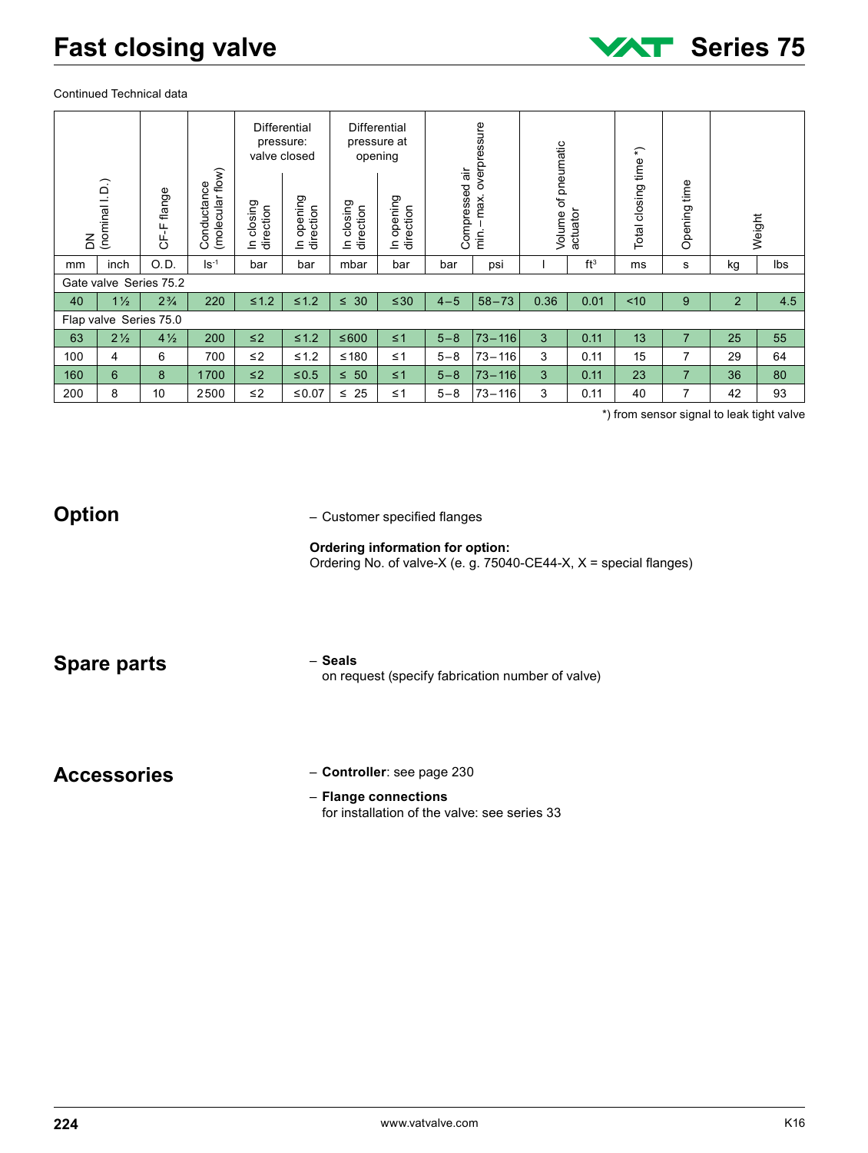Continued Technical data

|                    |                                                                                                                                                                                                     |                        |                                 | valve closed            | Differential<br>pressure: |                         | Differential<br>pressure at<br>opening |                    |                                                  |                     |              |                       |                                  |                |          |
|--------------------|-----------------------------------------------------------------------------------------------------------------------------------------------------------------------------------------------------|------------------------|---------------------------------|-------------------------|---------------------------|-------------------------|----------------------------------------|--------------------|--------------------------------------------------|---------------------|--------------|-----------------------|----------------------------------|----------------|----------|
| $\leq$             | $(nominal 1. D.)$                                                                                                                                                                                   | CF-F flange            | Conductance<br>(molecular flow) | In closing<br>direction | In opening<br>direction   | In closing<br>direction | In opening<br>direction                | Compressed air     | min.-max. overpressure                           | Volume of pneumatic | actuator     | Total closing time *) | Opening time                     |                | Weight   |
| mm                 | inch                                                                                                                                                                                                | O.D.                   | $Is-1$                          | bar                     | bar                       | mbar                    | bar                                    | bar                | psi                                              | $\mathbf{I}$        | $ft^3$       | ms                    | $\mathbf s$                      | kg             | lbs      |
|                    |                                                                                                                                                                                                     | Gate valve Series 75.2 |                                 |                         |                           |                         |                                        |                    |                                                  |                     |              |                       |                                  |                |          |
| 40                 | $1\frac{1}{2}$                                                                                                                                                                                      | $2\frac{3}{4}$         | 220                             | $\leq 1.2$              | $\leq 1.2$                | $\leq 30$               | $\leq 30$                              | $4 - 5$            | $58 - 73$                                        | 0.36                | 0.01         | ~10                   | 9                                | $\overline{c}$ | 4.5      |
|                    | Flap valve Series 75.0                                                                                                                                                                              |                        |                                 |                         |                           |                         |                                        |                    |                                                  |                     |              |                       |                                  |                |          |
| 63                 | $2\frac{1}{2}$                                                                                                                                                                                      | $4\frac{1}{2}$         | 200                             | $\leq$ 2                | $\leq 1.2$                | $≤600$                  | $\leq 1$                               | $5 - 8$            | $73 - 116$                                       | 3                   | 0.11         | 13                    | $\overline{7}$                   | 25             | 55       |
| 100                | 4                                                                                                                                                                                                   | 6                      | 700                             | $\leq$ 2                | $\leq 1.2$                | $≤ 180$                 | $\leq 1$                               | $5 - 8$            | $73 - 116$                                       | 3                   | 0.11         | 15                    | 7                                | 29             | 64       |
| 160<br>200         | 6<br>8                                                                                                                                                                                              | 8<br>10                | 1700<br>2500                    | $\leq$ 2<br>$\leq\!2$   | $≤0.5$<br>$≤ 0.07$        | $\leq 50$<br>$\leq 25$  | $\leq 1$<br>$\leq 1$                   | $5 - 8$<br>$5 - 8$ | $73 - 116$<br>$73 - 116$                         | 3<br>3              | 0.11<br>0.11 | 23<br>40              | $\overline{7}$<br>$\overline{7}$ | 36<br>42       | 80<br>93 |
|                    | *) from sensor signal to leak tight valve<br><b>Option</b><br>- Customer specified flanges<br>Ordering information for option:<br>Ordering No. of valve-X (e. g. 75040-CE44-X, X = special flanges) |                        |                                 |                         |                           |                         |                                        |                    |                                                  |                     |              |                       |                                  |                |          |
|                    | <b>Spare parts</b>                                                                                                                                                                                  |                        |                                 |                         |                           | - Seals                 |                                        |                    | on request (specify fabrication number of valve) |                     |              |                       |                                  |                |          |
| <b>Accessories</b> |                                                                                                                                                                                                     |                        |                                 |                         |                           |                         | - Controller: see page 230             |                    |                                                  |                     |              |                       |                                  |                |          |

#### **Ordering information for option:** Ordering No. of valve-X (e. g. 75040-CE44-X, X = special flanges)

– **Flange connections** for installation of the valve: see series 33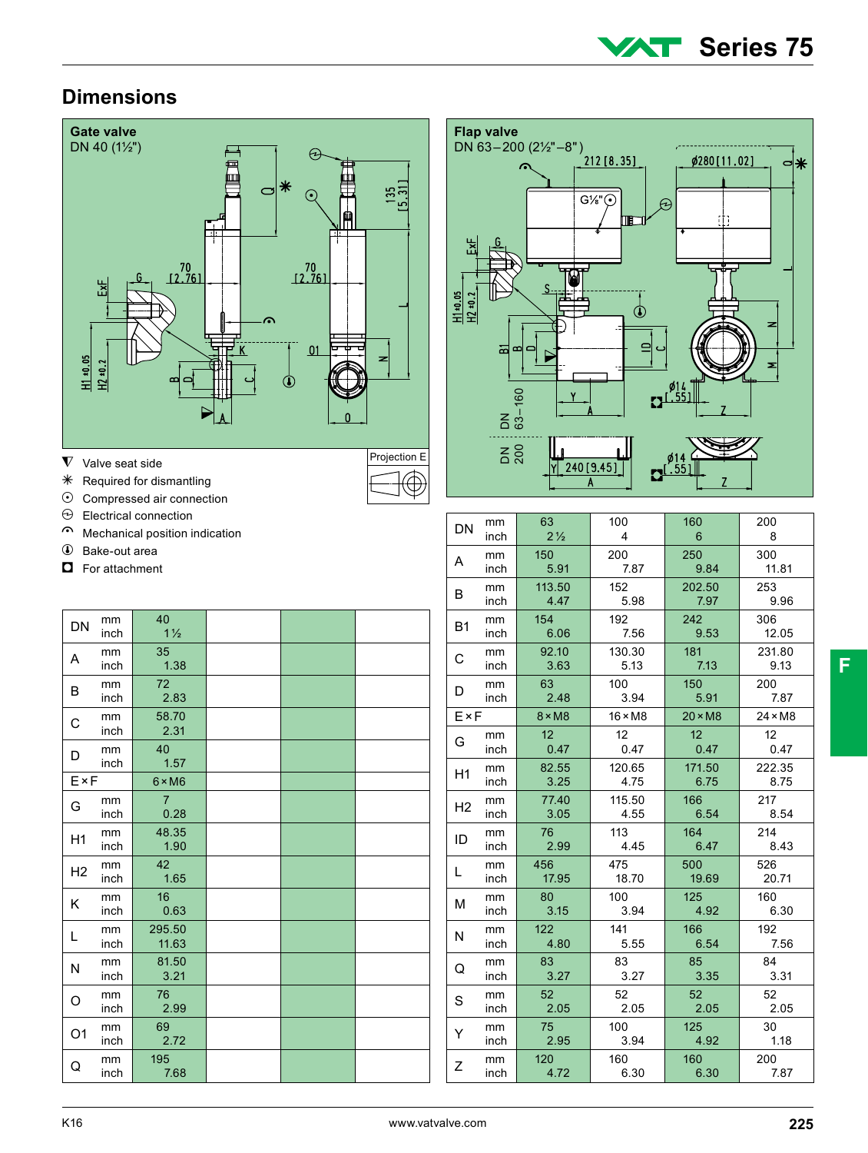

### **Dimensions**



- $\nabla$  Valve seat side
- $*$  Required for dismantling
- $\odot$  Compressed air connection
- $\Theta$  Electrical connection
- Mechanical position indication
- Bake-out area
- $\Box$  For attachment

| DN             | mm   | 40             |  |  |
|----------------|------|----------------|--|--|
|                | inch | $1\frac{1}{2}$ |  |  |
| A              | mm   | 35             |  |  |
|                | inch | 1.38           |  |  |
| B              | mm   | 72             |  |  |
|                | inch | 2.83           |  |  |
| C              | mm   | 58.70          |  |  |
|                | inch | 2.31           |  |  |
| D              | mm   | 40             |  |  |
|                | inch | 1.57           |  |  |
| E×F            |      | $6 \times M6$  |  |  |
| G              | mm   | $\overline{7}$ |  |  |
|                | inch | 0.28           |  |  |
| H1             | mm   | 48.35          |  |  |
|                | inch | 1.90           |  |  |
| H2             | mm   | 42             |  |  |
|                | inch | 1.65           |  |  |
| Κ              | mm   | 16             |  |  |
|                | inch | 0.63           |  |  |
| L              | mm   | 295.50         |  |  |
|                | inch | 11.63          |  |  |
|                | mm   | 81.50          |  |  |
| N              | inch | 3.21           |  |  |
|                | mm   | 76             |  |  |
| O              | inch | 2.99           |  |  |
|                | mm   | 69             |  |  |
| O <sub>1</sub> | inch | 2.72           |  |  |
|                | mm   | 195            |  |  |
| Q              | inch | 7.68           |  |  |



| DN             | mm   | 63              | 100             | 160             | 200            |
|----------------|------|-----------------|-----------------|-----------------|----------------|
|                | inch | $2\frac{1}{2}$  | 4               | 6               | 8              |
| A              | mm   | 150             | 200             | 250             | 300            |
|                | inch | 5.91            | 7.87            | 9.84            | 11.81          |
| B              | mm   | 113.50          | 152             | 202.50          | 253            |
|                | inch | 4.47            | 5.98            | 7.97            | 9.96           |
| <b>B1</b>      | mm   | 154             | 192             | 242             | 306            |
|                | inch | 6.06            | 7.56            | 9.53            | 12.05          |
| C              | mm   | 92.10           | 130.30          | 181             | 231.80         |
|                | inch | 3.63            | 5.13            | 7.13            | 9.13           |
| D              | mm   | 63              | 100             | 150             | 200            |
|                | inch | 2.48            | 3.94            | 5.91            | 7.87           |
| FxF            |      | $8 \times M8$   | $16 \times M8$  | $20 \times M8$  | $24 \times M8$ |
| G              | mm   | 12 <sup>2</sup> | 12 <sup>2</sup> | 12 <sup>2</sup> | 12             |
|                | inch | 0.47            | 0.47            | 0.47            | 0.47           |
| H1             | mm   | 82.55           | 120.65          | 171.50          | 222.35         |
|                | inch | 3.25            | 4.75            | 6.75            | 8.75           |
| H <sub>2</sub> | mm   | 77.40           | 115.50          | 166             | 217            |
|                | inch | 3.05            | 4.55            | 6.54            | 8.54           |
| ID             | mm   | 76              | 113             | 164             | 214            |
|                | inch | 2.99            | 4.45            | 6.47            | 8.43           |
| L              | mm   | 456             | 475             | 500             | 526            |
|                | inch | 17.95           | 18.70           | 19.69           | 20.71          |
| М              | mm   | 80              | 100             | 125             | 160            |
|                | inch | 3.15            | 3.94            | 4.92            | 6.30           |
| N              | mm   | 122             | 141             | 166             | 192            |
|                | inch | 4.80            | 5.55            | 6.54            | 7.56           |
| Q              | mm   | 83              | 83              | 85              | 84             |
|                | inch | 3.27            | 3.27            | 3.35            | 3.31           |
| S              | mm   | 52              | 52              | 52 <sub>2</sub> | 52             |
|                | inch | 2.05            | 2.05            | 2.05            | 2.05           |
| Y              | mm   | 75              | 100             | 125             | 30             |
|                | inch | 2.95            | 3.94            | 4.92            | 1.18           |
| Ζ              | mm   | 120             | 160             | 160             | 200            |
|                | inch | 4.72            | 6.30            | 6.30            | 7.87           |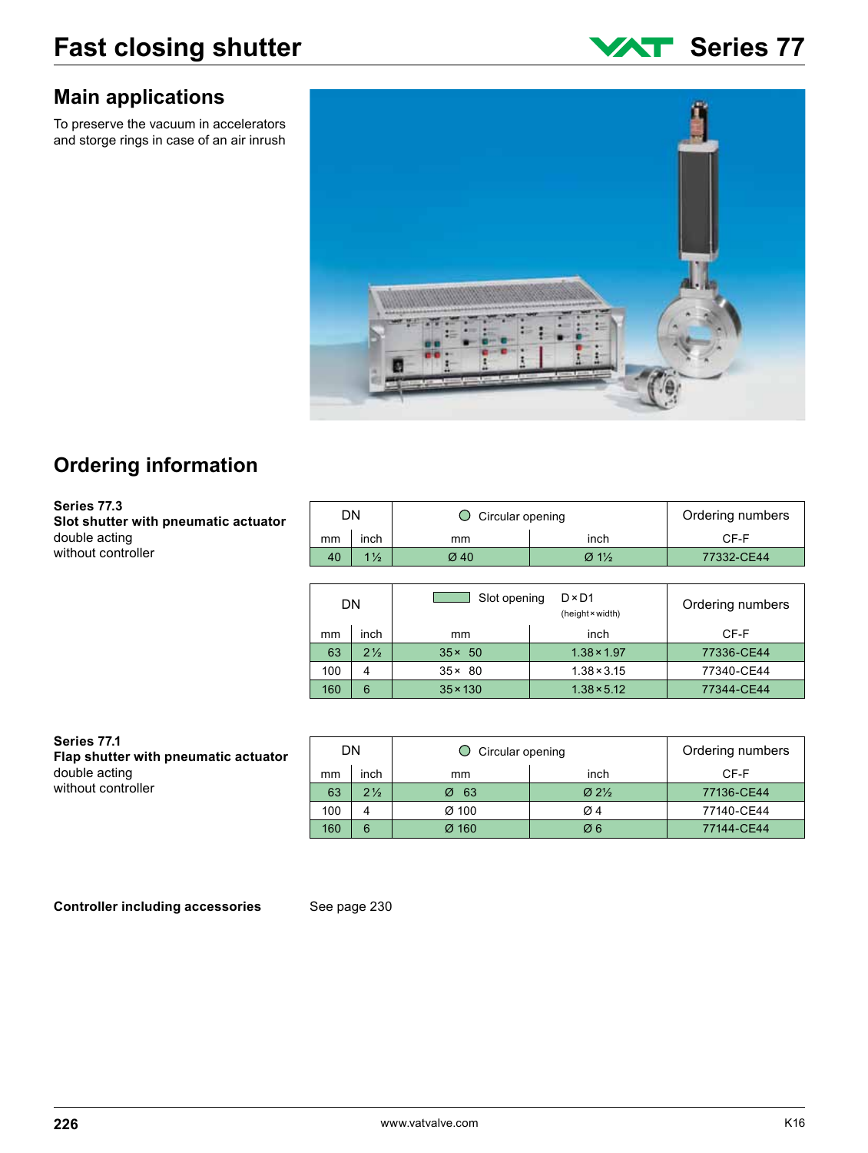### **Main applications**

To preserve the vacuum in accelerators and storge rings in case of an air inrush





# **Ordering information**

**Series 77.3 Slot shutter with pneumatic actuator** double acting without controller

|    | DN             | Circular opening | Ordering numbers                  |                  |  |  |
|----|----------------|------------------|-----------------------------------|------------------|--|--|
| mm | inch           | mm               | inch                              | CF-F             |  |  |
| 40 | $1\frac{1}{2}$ | Ø 40             | $\varnothing$ 1%                  |                  |  |  |
|    |                |                  |                                   |                  |  |  |
|    | DN             | Slot opening     | $D \times D1$<br>(height × width) | Ordering numbers |  |  |
| mm | inch           | mm               | inch                              | CF-F             |  |  |

| ,,,,,, | 11 I GH        | ,,,,,,          | 11 I GET           | UF-F       |
|--------|----------------|-----------------|--------------------|------------|
| 63     | $2\frac{1}{2}$ | $35 \times 50$  | $1.38 \times 1.97$ | 77336-CE44 |
| 100    |                | $35 \times 80$  | $1.38 \times 3.15$ | 77340-CE44 |
| 160    | 6              | $35 \times 130$ | $1.38 \times 5.12$ | 77344-CE44 |

#### **Series 77.1 Flap shutter with pneumatic actuator** double acting without controller

| DN<br>$\bigcirc$ Circular opening |                |          |                                             | Ordering numbers |
|-----------------------------------|----------------|----------|---------------------------------------------|------------------|
| mm                                | inch           | mm       | inch                                        | CF-F             |
| 63                                | $2\frac{1}{2}$ | -63<br>Ø | $\varnothing$ 2 <sup>1</sup> / <sub>2</sub> | 77136-CE44       |
| 100                               | 4              | Ø 100    | $\varnothing$ 4                             | 77140-CE44       |
| 160                               | 6              | Ø 160    | Ø6                                          | 77144-CE44       |

**Controller including accessories** See page 230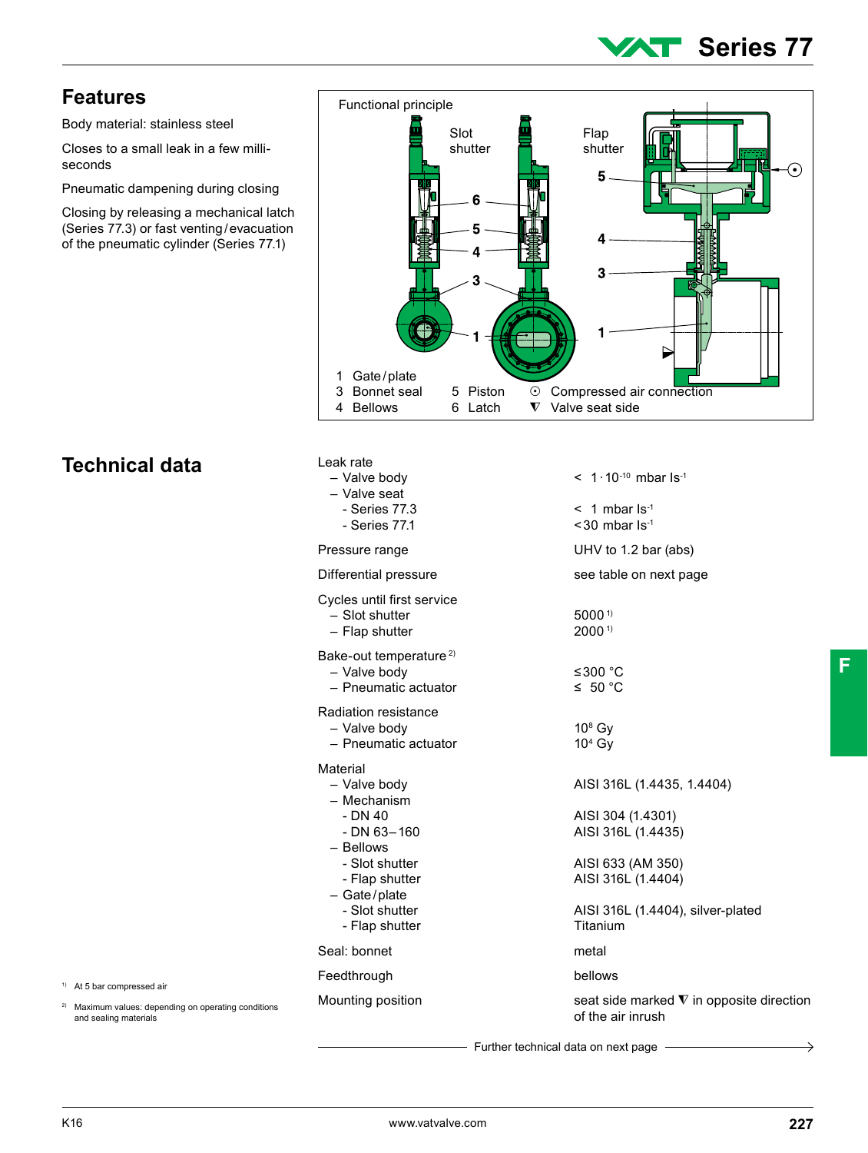# **Series 77**

#### **Features**

Body material: stainless steel

Closes to a small leak in a few milliseconds

Pneumatic dampening during closing

Closing by releasing a mechanical latch (Series 77.3) or fast venting/evacuation of the pneumatic cylinder (Series 77.1)



# **Technical data**

| Leak rate<br>- Valve body<br>- Valve seat<br>- Series 77.3<br>- Series 77.1                                                                                                  | $\leq 1.10^{-10}$ mbar ls <sup>-1</sup><br>$<$ 1 mbar $\text{Is}^1$<br>$<$ 30 mbar $Is-1$                                                                         |
|------------------------------------------------------------------------------------------------------------------------------------------------------------------------------|-------------------------------------------------------------------------------------------------------------------------------------------------------------------|
| Pressure range                                                                                                                                                               | UHV to 1.2 bar (abs)                                                                                                                                              |
| Differential pressure                                                                                                                                                        | see table on next page                                                                                                                                            |
| Cycles until first service<br>- Slot shutter<br>- Flap shutter                                                                                                               | $5000^{1}$<br>$2000^{11}$                                                                                                                                         |
| Bake-out temperature <sup>2)</sup><br>- Valve body<br>- Pneumatic actuator                                                                                                   | ≤300 °C<br>$\leq 50 °C$                                                                                                                                           |
| Radiation resistance<br>- Valve body<br>- Pneumatic actuator                                                                                                                 | $108$ Gv<br>$104$ Gy                                                                                                                                              |
| Material<br>- Valve body<br>- Mechanism<br>- DN 40<br>$- DN 63 - 160$<br>- Bellows<br>- Slot shutter<br>- Flap shutter<br>$-$ Gate/plate<br>- Slot shutter<br>- Flap shutter | AISI 316L (1.4435, 1.4404)<br>AISI 304 (1.4301)<br>AISI 316L (1.4435)<br>AISI 633 (AM 350)<br>AISI 316L (1.4404)<br>AISI 316L (1.4404), silver-plated<br>Titanium |
| Seal: bonnet                                                                                                                                                                 | metal                                                                                                                                                             |
| Feedthrough                                                                                                                                                                  | bellows                                                                                                                                                           |
| Mounting position                                                                                                                                                            | seat side marked $\nabla$ in opposite direction<br>of the air inrush                                                                                              |
|                                                                                                                                                                              |                                                                                                                                                                   |

Further technical data on next page

1) At 5 bar compressed air

and sealing materials

2) Maximum values: depending on operating conditions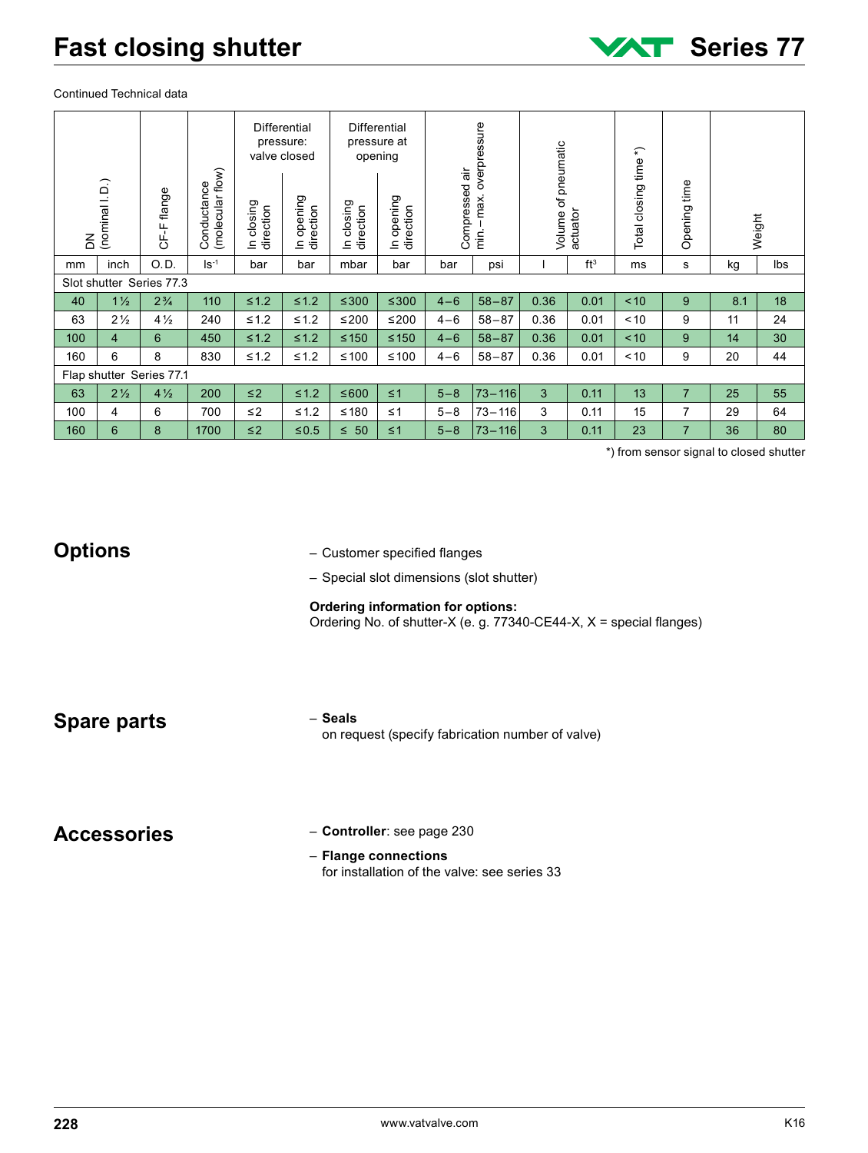Continued Technical data

|                                                                                   |                                                                                                                                                                                                               |                          |                                 |                         | Differential<br>pressure:<br>valve closed |                         | Differential<br>pressure at<br>opening |                    |                       |                     |                 |                       |                                    |          |                                               |
|-----------------------------------------------------------------------------------|---------------------------------------------------------------------------------------------------------------------------------------------------------------------------------------------------------------|--------------------------|---------------------------------|-------------------------|-------------------------------------------|-------------------------|----------------------------------------|--------------------|-----------------------|---------------------|-----------------|-----------------------|------------------------------------|----------|-----------------------------------------------|
| $\overline{5}$                                                                    | (nominal I.D.)                                                                                                                                                                                                | CF-F flange              | Conductance<br>(molecular flow) | In closing<br>direction | In opening<br>direction                   | In closing<br>direction | In opening<br>direction                | Compressed air     | min.-max.overpressure | Volume of pneumatic | actuator        | Total closing time *) | Opening time                       |          | Weight                                        |
| mm                                                                                | inch                                                                                                                                                                                                          | O.D.                     | $\mathsf{Is}^{-1}$              | bar                     | bar                                       | mbar                    | bar                                    | bar                | psi                   | 1                   | ft <sup>3</sup> | ms                    | $\mathbf s$                        | kg       | lbs                                           |
|                                                                                   |                                                                                                                                                                                                               | Slot shutter Series 77.3 |                                 |                         |                                           |                         |                                        |                    |                       |                     |                 |                       |                                    |          |                                               |
| 40                                                                                | $1\frac{1}{2}$                                                                                                                                                                                                | $2\frac{3}{4}$           | 110                             | $\leq 1.2$              | $\leq 1.2$                                | $≤300$                  | $≤ 300$                                | $4 - 6$            | $58 - 87$             | 0.36                | 0.01            | < 10                  | 9                                  | 8.1      | 18                                            |
| 63                                                                                | $2\frac{1}{2}$                                                                                                                                                                                                | $4\frac{1}{2}$           | 240                             | $\leq 1.2$              | $≤ 1.2$                                   | ≤200                    | $≤200$                                 | $4 - 6$            | $58 - 87$             | 0.36                | 0.01            | < 10                  | 9                                  | 11       | 24                                            |
| 100                                                                               | $\overline{\mathbf{4}}$                                                                                                                                                                                       | 6                        | 450                             | $≤1.2$                  | $≤1.2$                                    | $≤ 150$                 | $≤ 150$                                | $4 - 6$            | $58 - 87$             | 0.36                | 0.01            | < 10                  | 9                                  | 14       | 30                                            |
| 160                                                                               | 6                                                                                                                                                                                                             | 8                        | 830                             | ≤1.2                    | ≤1.2                                      | ≤100                    | ≤100                                   | $4 - 6$            | $58 - 87$             | 0.36                | 0.01            | < 10                  | 9                                  | 20       | 44                                            |
|                                                                                   |                                                                                                                                                                                                               | Flap shutter Series 77.1 |                                 |                         |                                           |                         |                                        |                    |                       |                     |                 |                       |                                    |          |                                               |
| 63                                                                                | $2\frac{1}{2}$                                                                                                                                                                                                | $4\frac{1}{2}$           | 200                             | $\leq$ 2                | $≤1.2$                                    | ≤600                    | $\leq 1$                               | $5 - 8$            | $73 - 116$            | 3                   | 0.11            | 13                    | $\overline{7}$                     | 25       | 55                                            |
| 100                                                                               | 4<br>$\,6\,$                                                                                                                                                                                                  | 6<br>8                   | 700<br>1700                     | $\leq$ 2                | $≤1.2$                                    | $≤ 180$                 | $\leq 1$                               | $5 - 8$<br>$5 - 8$ | $73 - 116$            | 3                   | 0.11<br>0.11    | 15<br>23              | $\boldsymbol{7}$<br>$\overline{7}$ | 29<br>36 | 64                                            |
| 160                                                                               |                                                                                                                                                                                                               |                          |                                 | $\leq$ 2                | $≤0.5$                                    | $\leq 50$               | $\leq 1$                               |                    | $73 - 116$            | 3                   |                 |                       |                                    |          | 80<br>*) from sensor signal to closed shutter |
|                                                                                   | <b>Options</b><br>- Customer specified flanges<br>- Special slot dimensions (slot shutter)<br><b>Ordering information for options:</b><br>Ordering No. of shutter-X (e. g. 77340-CE44-X, X = special flanges) |                          |                                 |                         |                                           |                         |                                        |                    |                       |                     |                 |                       |                                    |          |                                               |
| - Seals<br><b>Spare parts</b><br>on request (specify fabrication number of valve) |                                                                                                                                                                                                               |                          |                                 |                         |                                           |                         |                                        |                    |                       |                     |                 |                       |                                    |          |                                               |
| <b>Accessories</b>                                                                |                                                                                                                                                                                                               |                          |                                 |                         |                                           |                         | - Controller: see page 230             |                    |                       |                     |                 |                       |                                    |          |                                               |

#### **Options**

#### **Ordering information for options:**

- **Controller**: see page 230
	- **Flange connections** for installation of the valve: see series 33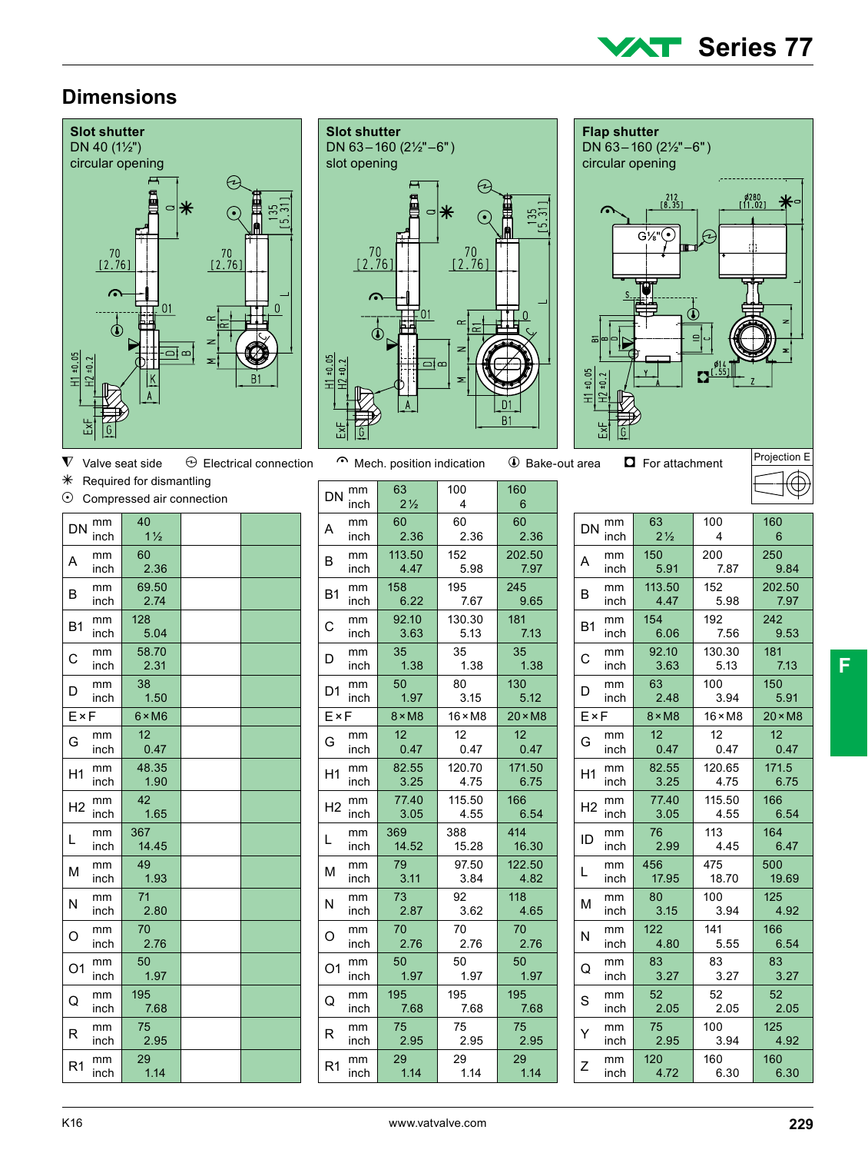#### **Series 77** T E L

 $\varphi$ 

02.00 l<br>11.02

**Flap shutter**

c

 $+11 + 0.05$ 

DN 63–160 (2½"–6") circular opening

 $\begin{smallmatrix} 212 \\ 18.35 \end{smallmatrix}$ 

 $G\frac{1}{8}\sqrt{C}$ 

#### **Dimensions**









Projection E

| $\ast$<br>$\odot$ |            | Required for dismantling<br>Compressed air connection |  |
|-------------------|------------|-------------------------------------------------------|--|
|                   |            |                                                       |  |
| DN                | mm<br>inch | 40<br>$1\frac{1}{2}$                                  |  |
| A                 | mm<br>inch | 60<br>2.36                                            |  |
| B                 | mm<br>inch | 69.50<br>2.74                                         |  |
| <b>B1</b>         | mm<br>inch | 128<br>5.04                                           |  |
| C                 | mm<br>inch | 58.70<br>2.31                                         |  |
| D                 | mm<br>inch | 38<br>1.50                                            |  |
| ExF               |            | $6 \times M6$                                         |  |
| G                 | mm<br>inch | 12<br>0.47                                            |  |
| H1                | mm<br>inch | 48.35<br>1.90                                         |  |
| H <sub>2</sub>    | mm<br>inch | 42<br>1.65                                            |  |
| L                 | mm<br>inch | 367<br>14.45                                          |  |
| M                 | mm<br>inch | 49<br>1.93                                            |  |
| N                 | mm<br>inch | 71<br>2.80                                            |  |
| O                 | mm<br>inch | 70<br>2.76                                            |  |
| O <sub>1</sub>    | mm<br>inch | 50<br>1.97                                            |  |
| Q                 | mm<br>inch | 195<br>7.68                                           |  |
| R                 | mm<br>inch | 75<br>2.95                                            |  |
| R <sub>1</sub>    | mm<br>inch | 29<br>1.14                                            |  |

| mm<br>DN<br>inch             | 63<br>$2\frac{1}{2}$    | 100<br>4       | 160<br>6                |
|------------------------------|-------------------------|----------------|-------------------------|
| mm<br>A<br>inch              | 60<br>2.36              | 60<br>2.36     | 60<br>2.36              |
| mm<br>B<br>inch              | 113.50<br>4.47          | 152<br>5.98    | 202.50<br>7.97          |
| mm<br><b>B1</b><br>inch      | 158<br>6.22             | 195<br>7.67    | 245<br>9.65             |
| mm<br>Ć<br>inch              | 92.10<br>3.63           | 130.30<br>5.13 | 181<br>7.13             |
| mm<br>D<br>inch              | 35 <sub>2</sub><br>1.38 | 35<br>1.38     | 35<br>1.38              |
| mm<br>D <sub>1</sub><br>inch | 50<br>1.97              | 80<br>3.15     | 130<br>5.12             |
| FxF                          | $8 \times M8$           | $16 \times M8$ | $20 \times M8$          |
| mm<br>G<br>inch              | 12 <sup>2</sup><br>0.47 | 12<br>0.47     | 12 <sup>2</sup><br>0.47 |
| mm<br>Η1<br>inch             | 82.55<br>3.25           | 120.70<br>4.75 | 171.50<br>6.75          |
| mm<br>Н2<br>inch             | 77.40<br>3.05           | 115.50<br>4.55 | 166<br>6.54             |
| mm<br>L<br>inch              | 369<br>14.52            | 388<br>15.28   | 414<br>16.30            |
| mm<br>M<br>inch              | 79<br>3.11              | 97.50<br>3.84  | 122.50<br>4.82          |
| mm<br>N<br>inch              | 73<br>2.87              | 92<br>3.62     | 118<br>4.65             |
| mm<br>Ω<br>inch              | 70<br>2.76              | 70<br>2.76     | 70<br>2.76              |
| mm<br>O1<br>inch             | 50 <sub>1</sub><br>1.97 | 50<br>1.97     | 50<br>1.97              |
| mm<br>Q<br>inch              | 195<br>7.68             | 195<br>7.68    | 195<br>7.68             |
| mm<br>R<br>inch              | 75<br>2.95              | 75<br>2.95     | 75<br>2.95              |
| mm<br>R <sub>1</sub><br>inch | 29<br>1.14              | 29<br>1.14     | 29<br>1.14              |

| <b>DN</b> | mm   | 63             | 100            | 160            |
|-----------|------|----------------|----------------|----------------|
|           | inch | $2\frac{1}{2}$ | 4              | 6              |
| А         | mm   | 150            | 200            | 250            |
|           | inch | 5.91           | 7.87           | 9.84           |
| B         | mm   | 113.50         | 152            | 202.50         |
|           | inch | 4.47           | 5.98           | 7.97           |
| B1        | mm   | 154            | 192            | 242            |
|           | inch | 6.06           | 7.56           | 9.53           |
| С         | mm   | 92.10          | 130.30         | 181            |
|           | inch | 3.63           | 5.13           | 7.13           |
| D         | mm   | 63             | 100            | 150            |
|           | inch | 2.48           | 3.94           | 5.91           |
| FxF       |      | $8 \times M8$  | $16 \times M8$ | $20 \times M8$ |
| G         | mm   | 12             | 12             | 12             |
|           | inch | 0.47           | 0.47           | 0.47           |
| Η1        | mm   | 82.55          | 120.65         | 171.5          |
|           | inch | 3.25           | 4.75           | 6.75           |
| H2        | mm   | 77.40          | 115.50         | 166            |
|           | inch | 3.05           | 4.55           | 6.54           |
| ID        | mm   | 76             | 113            | 164            |
|           | inch | 2.99           | 4.45           | 6.47           |
| L         | mm   | 456            | 475            | 500            |
|           | inch | 17.95          | 18.70          | 19.69          |
| М         | mm   | 80             | 100            | 125            |
|           | inch | 3.15           | 3.94           | 4.92           |
| N         | mm   | 122            | 141            | 166            |
|           | inch | 4.80           | 5.55           | 6.54           |
| Q         | mm   | 83             | 83             | 83             |
|           | inch | 3.27           | 3.27           | 3.27           |
| S         | mm   | 52             | 52             | 52             |
|           | inch | 2.05           | 2.05           | 2.05           |
| Y         | mm   | 75             | 100            | 125            |
|           | inch | 2.95           | 3.94           | 4.92           |
| Z         | mm   | 120            | 160            | 160            |
|           | inch | 4.72           | 6.30           | 6.30           |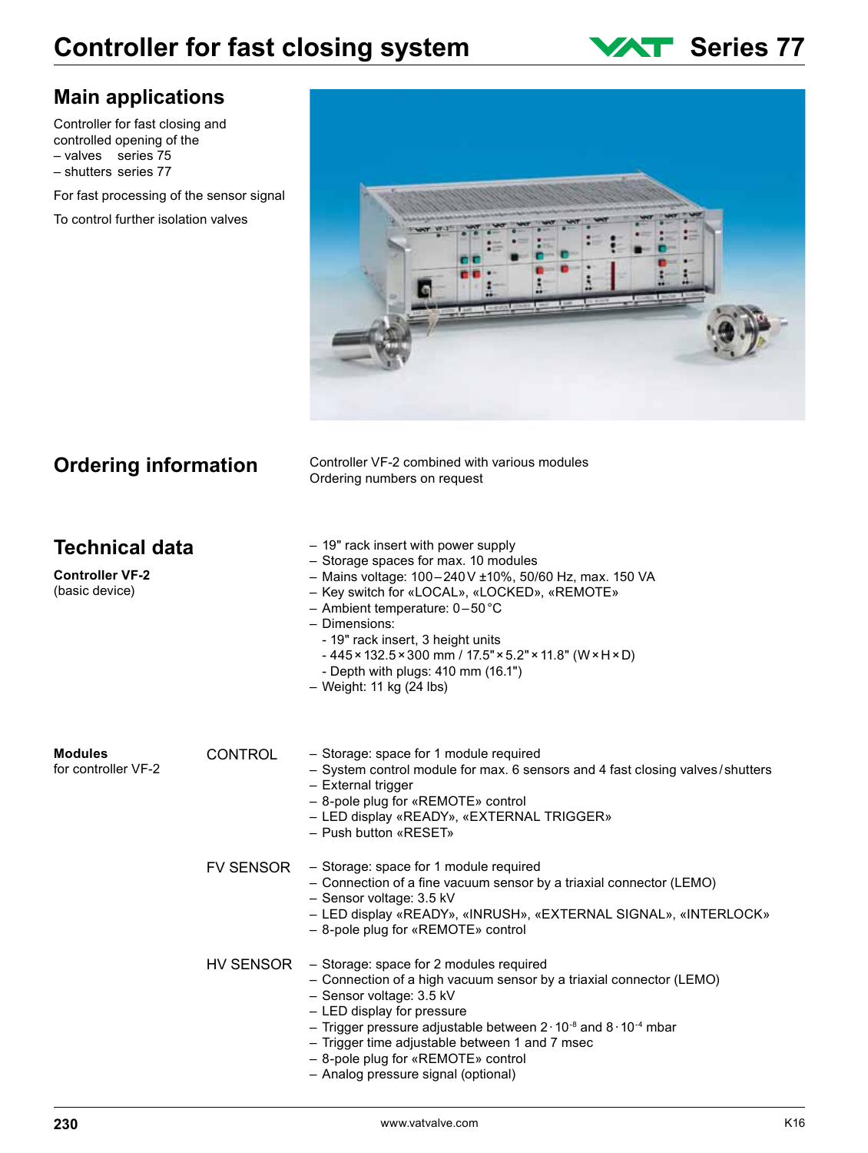# **Controller for fast closing system WAT Series 77**

#### **Main applications**

Controller for fast closing and controlled opening of the – valves series 75 – shutters series 77

For fast processing of the sensor signal

To control further isolation valves



**Ordering information**

Controller VF-2 combined with various modules Ordering numbers on request

| Technical data<br><b>Controller VF-2</b><br>(basic device) |                  | - 19" rack insert with power supply<br>- Storage spaces for max. 10 modules<br>- Mains voltage: 100-240V ±10%, 50/60 Hz, max. 150 VA<br>- Key switch for «LOCAL», «LOCKED», «REMOTE»<br>- Ambient temperature: $0-50^{\circ}$ C<br>- Dimensions:<br>- 19" rack insert, 3 height units<br>$-445 \times 132.5 \times 300$ mm / $17.5" \times 5.2" \times 11.8"$ (W $\times$ H $\times$ D)<br>- Depth with plugs: $410$ mm $(16.1")$<br>$-$ Weight: 11 kg (24 lbs) |
|------------------------------------------------------------|------------------|-----------------------------------------------------------------------------------------------------------------------------------------------------------------------------------------------------------------------------------------------------------------------------------------------------------------------------------------------------------------------------------------------------------------------------------------------------------------|
| Modules<br>for controller VF-2                             | <b>CONTROL</b>   | - Storage: space for 1 module required<br>- System control module for max. 6 sensors and 4 fast closing valves/shutters<br>- External trigger<br>- 8-pole plug for «REMOTE» control<br>- LED display «READY», «EXTERNAL TRIGGER»<br>- Push button «RESET»                                                                                                                                                                                                       |
|                                                            | <b>FV SENSOR</b> | - Storage: space for 1 module required<br>- Connection of a fine vacuum sensor by a triaxial connector (LEMO)<br>- Sensor voltage: 3.5 kV<br>- LED display «READY», «INRUSH», «EXTERNAL SIGNAL», «INTERLOCK»<br>- 8-pole plug for «REMOTE» control                                                                                                                                                                                                              |
|                                                            | HV SENSOR        | - Storage: space for 2 modules required<br>- Connection of a high vacuum sensor by a triaxial connector (LEMO)<br>- Sensor voltage: 3.5 kV<br>- LED display for pressure<br>- Trigger pressure adjustable between $2 \cdot 10^{-8}$ and $8 \cdot 10^{-4}$ mbar<br>- Trigger time adjustable between 1 and 7 msec<br>- 8-pole plug for «REMOTE» control<br>- Analog pressure signal (optional)                                                                   |